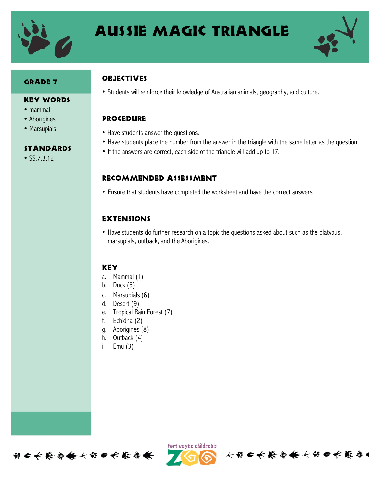

# Aussie magic triangle



# **GRADE 7**

#### Key Words

- mammal
- Aborigines
- Marsupials

#### **STANDARDS**

• SS.7.3.12

### **OBJECTIVES**

• Students will reinforce their knowledge of Australian animals, geography, and culture.

# **PROCEDURE**

- Have students answer the questions.
- Have students place the number from the answer in the triangle with the same letter as the question.
- If the answers are correct, each side of the triangle will add up to 17.

#### Recommended assessment

• Ensure that students have completed the worksheet and have the correct answers.

# **EXTENSIONS**

• Have students do further research on a topic the questions asked about such as the platypus, marsupials, outback, and the Aborigines.

### **KEY**

- a. Mammal (1)
- b. Duck (5)
- c. Marsupials (6)
- d. Desert (9)
- e. Tropical Rain Forest (7)
- f. Echidna (2)
- g. Aborigines (8)
- h. Outback (4)
- i. Emu (3)



ført wayne children's

长节6长能每条长节6长能每1